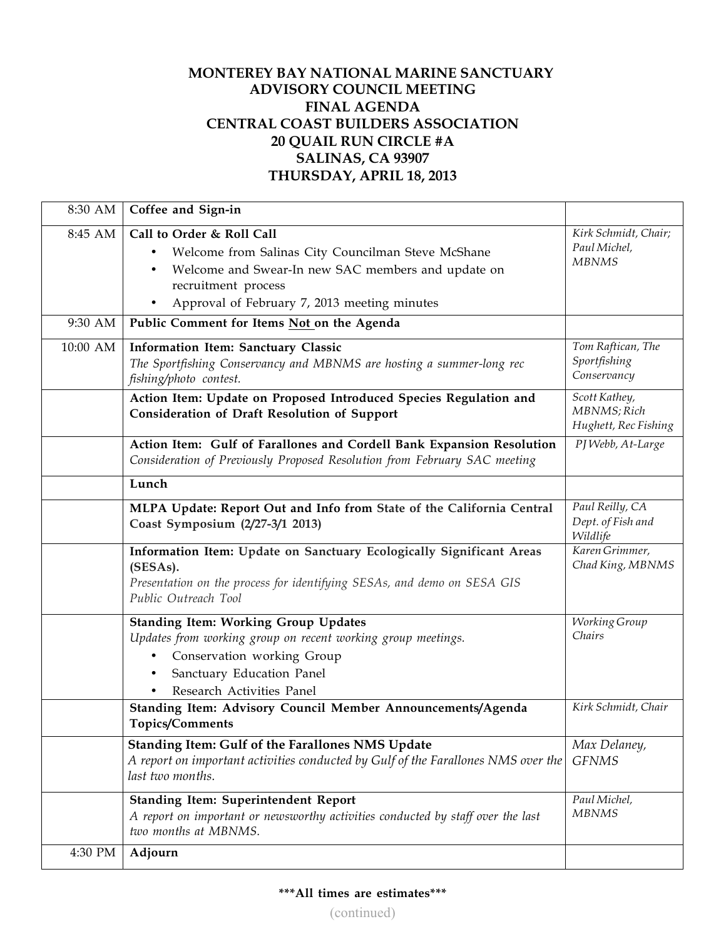# **MONTEREY BAY NATIONAL MARINE SANCTUARY ADVISORY COUNCIL MEETING FINAL AGENDA CENTRAL COAST BUILDERS ASSOCIATION 20 QUAIL RUN CIRCLE #A SALINAS, CA 93907 THURSDAY, APRIL 18, 2013**

| 8:30 AM  | Coffee and Sign-in                                                                                                                                                                                                        |                                                      |
|----------|---------------------------------------------------------------------------------------------------------------------------------------------------------------------------------------------------------------------------|------------------------------------------------------|
| 8:45 AM  | Call to Order & Roll Call<br>Welcome from Salinas City Councilman Steve McShane<br>Welcome and Swear-In new SAC members and update on<br>recruitment process<br>Approval of February 7, 2013 meeting minutes<br>$\bullet$ | Kirk Schmidt, Chair;<br>Paul Michel,<br><b>MBNMS</b> |
| 9:30 AM  | Public Comment for Items Not on the Agenda                                                                                                                                                                                |                                                      |
| 10:00 AM | <b>Information Item: Sanctuary Classic</b><br>The Sportfishing Conservancy and MBNMS are hosting a summer-long rec<br>fishing/photo contest.                                                                              | Tom Raftican, The<br>Sportfishing<br>Conservancy     |
|          | Action Item: Update on Proposed Introduced Species Regulation and<br><b>Consideration of Draft Resolution of Support</b>                                                                                                  | Scott Kathey,<br>MBNMS; Rich<br>Hughett, Rec Fishing |
|          | Action Item: Gulf of Farallones and Cordell Bank Expansion Resolution<br>Consideration of Previously Proposed Resolution from February SAC meeting                                                                        | PJ Webb, At-Large                                    |
|          | Lunch                                                                                                                                                                                                                     |                                                      |
|          | MLPA Update: Report Out and Info from State of the California Central<br>Coast Symposium (2/27-3/1 2013)                                                                                                                  | Paul Reilly, CA<br>Dept. of Fish and<br>Wildlife     |
|          | Information Item: Update on Sanctuary Ecologically Significant Areas<br>(SESAs).<br>Presentation on the process for identifying SESAs, and demo on SESA GIS<br>Public Outreach Tool                                       | Karen Grimmer,<br>Chad King, MBNMS                   |
|          | <b>Standing Item: Working Group Updates</b><br>Updates from working group on recent working group meetings.<br>Conservation working Group<br>Sanctuary Education Panel<br>Research Activities Panel                       | <b>Working Group</b><br>Chairs                       |
|          | Standing Item: Advisory Council Member Announcements/Agenda<br><b>Topics/Comments</b>                                                                                                                                     | Kirk Schmidt, Chair                                  |
|          | Standing Item: Gulf of the Farallones NMS Update<br>A report on important activities conducted by Gulf of the Farallones NMS over the<br>last two months.                                                                 | Max Delaney,<br><b>GFNMS</b>                         |
|          | <b>Standing Item: Superintendent Report</b><br>A report on important or newsworthy activities conducted by staff over the last<br>two months at MBNMS.                                                                    | Paul Michel,<br><b>MBNMS</b>                         |
| 4:30 PM  | Adjourn                                                                                                                                                                                                                   |                                                      |